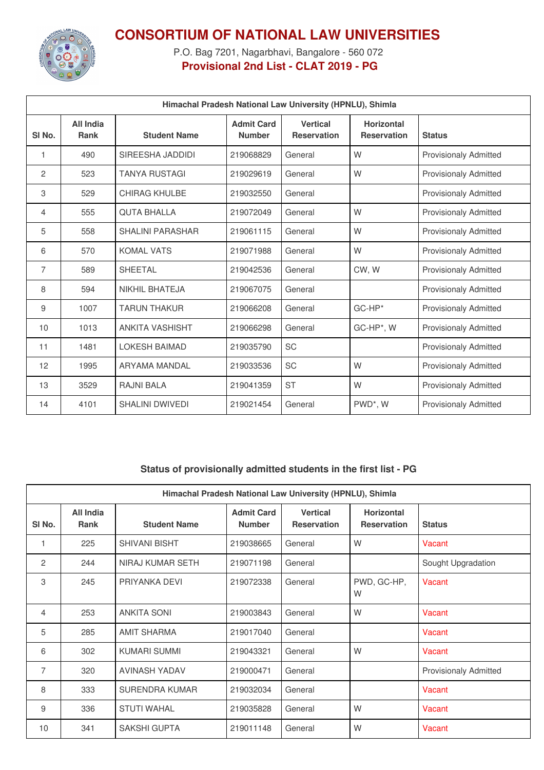

## **CONSORTIUM OF NATIONAL LAW UNIVERSITIES**

P.O. Bag 7201, Nagarbhavi, Bangalore - 560 072 **Provisional 2nd List - CLAT 2019 - PG**

| Himachal Pradesh National Law University (HPNLU), Shimla |                          |                         |                                    |                                       |                                         |                              |
|----------------------------------------------------------|--------------------------|-------------------------|------------------------------------|---------------------------------------|-----------------------------------------|------------------------------|
| SI <sub>No.</sub>                                        | All India<br><b>Rank</b> | <b>Student Name</b>     | <b>Admit Card</b><br><b>Number</b> | <b>Vertical</b><br><b>Reservation</b> | <b>Horizontal</b><br><b>Reservation</b> | <b>Status</b>                |
| 1                                                        | 490                      | SIREESHA JADDIDI        | 219068829                          | General                               | W                                       | <b>Provisionaly Admitted</b> |
| 2                                                        | 523                      | <b>TANYA RUSTAGI</b>    | 219029619                          | General                               | W                                       | <b>Provisionaly Admitted</b> |
| 3                                                        | 529                      | <b>CHIRAG KHULBE</b>    | 219032550                          | General                               |                                         | <b>Provisionaly Admitted</b> |
| 4                                                        | 555                      | <b>QUTA BHALLA</b>      | 219072049                          | General                               | W                                       | <b>Provisionaly Admitted</b> |
| 5                                                        | 558                      | <b>SHALINI PARASHAR</b> | 219061115                          | General                               | W                                       | <b>Provisionaly Admitted</b> |
| 6                                                        | 570                      | <b>KOMAL VATS</b>       | 219071988                          | General                               | W                                       | <b>Provisionaly Admitted</b> |
| 7                                                        | 589                      | SHEETAL                 | 219042536                          | General                               | CW, W                                   | <b>Provisionaly Admitted</b> |
| 8                                                        | 594                      | <b>NIKHIL BHATEJA</b>   | 219067075                          | General                               |                                         | <b>Provisionaly Admitted</b> |
| 9                                                        | 1007                     | <b>TARUN THAKUR</b>     | 219066208                          | General                               | $GC-HP*$                                | <b>Provisionaly Admitted</b> |
| 10                                                       | 1013                     | <b>ANKITA VASHISHT</b>  | 219066298                          | General                               | GC-HP*, W                               | <b>Provisionaly Admitted</b> |
| 11                                                       | 1481                     | <b>LOKESH BAIMAD</b>    | 219035790                          | SC                                    |                                         | <b>Provisionaly Admitted</b> |
| 12                                                       | 1995                     | ARYAMA MANDAL           | 219033536                          | SC                                    | W                                       | <b>Provisionaly Admitted</b> |
| 13                                                       | 3529                     | <b>RAJNI BALA</b>       | 219041359                          | <b>ST</b>                             | W                                       | <b>Provisionaly Admitted</b> |
| 14                                                       | 4101                     | <b>SHALINI DWIVEDI</b>  | 219021454                          | General                               | PWD*, W                                 | <b>Provisionaly Admitted</b> |

## **Status of provisionally admitted students in the first list - PG**

| Himachal Pradesh National Law University (HPNLU), Shimla |                                 |                       |                                    |                                       |                                         |                              |  |
|----------------------------------------------------------|---------------------------------|-----------------------|------------------------------------|---------------------------------------|-----------------------------------------|------------------------------|--|
| SI No.                                                   | <b>All India</b><br><b>Rank</b> | <b>Student Name</b>   | <b>Admit Card</b><br><b>Number</b> | <b>Vertical</b><br><b>Reservation</b> | <b>Horizontal</b><br><b>Reservation</b> | <b>Status</b>                |  |
| 1                                                        | 225                             | <b>SHIVANI BISHT</b>  | 219038665                          | General                               | W                                       | Vacant                       |  |
| $\overline{c}$                                           | 244                             | NIRAJ KUMAR SETH      | 219071198                          | General                               |                                         | Sought Upgradation           |  |
| 3                                                        | 245                             | PRIYANKA DEVI         | 219072338                          | General                               | PWD, GC-HP,<br>W                        | Vacant                       |  |
| 4                                                        | 253                             | <b>ANKITA SONI</b>    | 219003843                          | General                               | W                                       | Vacant                       |  |
| 5                                                        | 285                             | <b>AMIT SHARMA</b>    | 219017040                          | General                               |                                         | Vacant                       |  |
| 6                                                        | 302                             | KUMARI SUMMI          | 219043321                          | General                               | W                                       | Vacant                       |  |
| $\overline{7}$                                           | 320                             | <b>AVINASH YADAV</b>  | 219000471                          | General                               |                                         | <b>Provisionaly Admitted</b> |  |
| 8                                                        | 333                             | <b>SURENDRA KUMAR</b> | 219032034                          | General                               |                                         | Vacant                       |  |
| 9                                                        | 336                             | <b>STUTI WAHAL</b>    | 219035828                          | General                               | W                                       | Vacant                       |  |
| 10                                                       | 341                             | <b>SAKSHI GUPTA</b>   | 219011148                          | General                               | W                                       | Vacant                       |  |